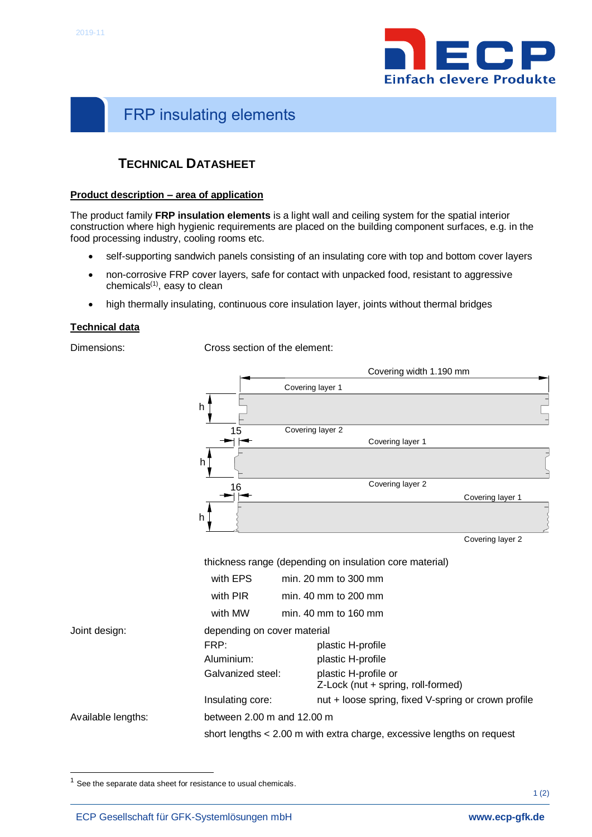<span id="page-0-0"></span>I



# <span id="page-0-1"></span>FRP insulating elements

## **TECHNICAL DATASHEET**

#### **Product description – area of application**

The product family **FRP insulation elements** is a light wall and ceiling system for the spatial interior construction where high hygienic requirements are placed on the building component surfaces, e.g. in the food processing industry, cooling rooms etc.

- self-supporting sandwich panels consisting of an insulating core with top and bottom cover layers
- non-corrosive FRP cover layers, safe for contact with unpacked food, resistant to aggressive chemicals<sup>(1)</sup>, easy to clean
- high thermally insulating, continuous core insulation layer, joints without thermal bridges

#### **Technical data**

1

Dimensions: Cross section of the element:



 $1$  See the separate data sheet for resistance to usual chemicals.